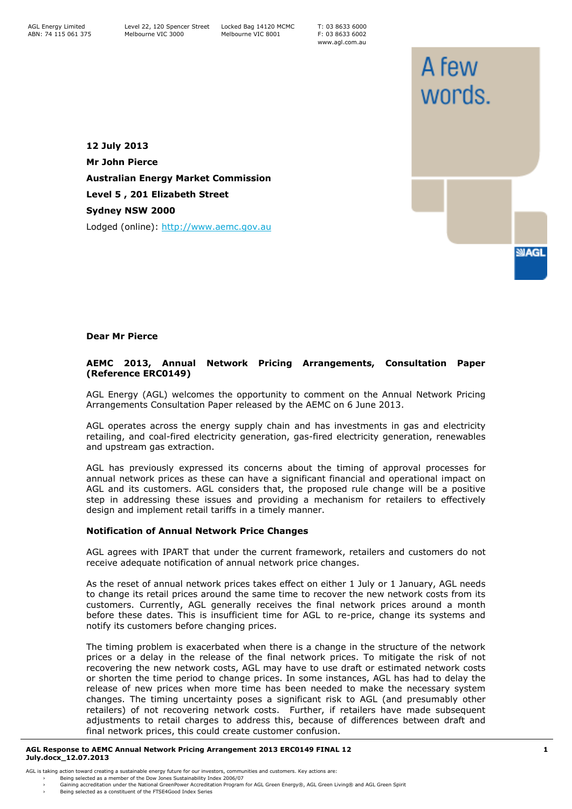T: 03 8633 6000 F: 03 8633 6002 www.agl.com.au

A few

words.

**SMAGL** 

**12 July 2013 Mr John Pierce Australian Energy Market Commission Level 5 , 201 Elizabeth Street Sydney NSW 2000** Lodged (online): [http://www.aemc.gov.au](http://www.aemc.gov.au/)

## **Dear Mr Pierce**

# **AEMC 2013, Annual Network Pricing Arrangements, Consultation Paper (Reference ERC0149)**

AGL Energy (AGL) welcomes the opportunity to comment on the Annual Network Pricing Arrangements Consultation Paper released by the AEMC on 6 June 2013.

AGL operates across the energy supply chain and has investments in gas and electricity retailing, and coal-fired electricity generation, gas-fired electricity generation, renewables and upstream gas extraction.

AGL has previously expressed its concerns about the timing of approval processes for annual network prices as these can have a significant financial and operational impact on AGL and its customers. AGL considers that, the proposed rule change will be a positive step in addressing these issues and providing a mechanism for retailers to effectively design and implement retail tariffs in a timely manner.

### **Notification of Annual Network Price Changes**

AGL agrees with IPART that under the current framework, retailers and customers do not receive adequate notification of annual network price changes.

As the reset of annual network prices takes effect on either 1 July or 1 January, AGL needs to change its retail prices around the same time to recover the new network costs from its customers. Currently, AGL generally receives the final network prices around a month before these dates. This is insufficient time for AGL to re-price, change its systems and notify its customers before changing prices.

The timing problem is exacerbated when there is a change in the structure of the network prices or a delay in the release of the final network prices. To mitigate the risk of not recovering the new network costs, AGL may have to use draft or estimated network costs or shorten the time period to change prices. In some instances, AGL has had to delay the release of new prices when more time has been needed to make the necessary system changes. The timing uncertainty poses a significant risk to AGL (and presumably other retailers) of not recovering network costs. Further, if retailers have made subsequent adjustments to retail charges to address this, because of differences between draft and final network prices, this could create customer confusion.

#### **AGL Response to AEMC Annual Network Pricing Arrangement 2013 ERC0149 FINAL 12 July.docx\_12.07.2013**

AGL is taking action toward creating a sustainable energy future for our investors, communities and customers. Key actions are:

› Being selected as a member of the Dow Jones Sustainability Index 2006/07 › Gaining accreditation under the National GreenPower Accreditation Program for AGL Green Energy®, AGL Green Living® and AGL Green Spirit Being selected as a constituent of the FTSE4Good Index Series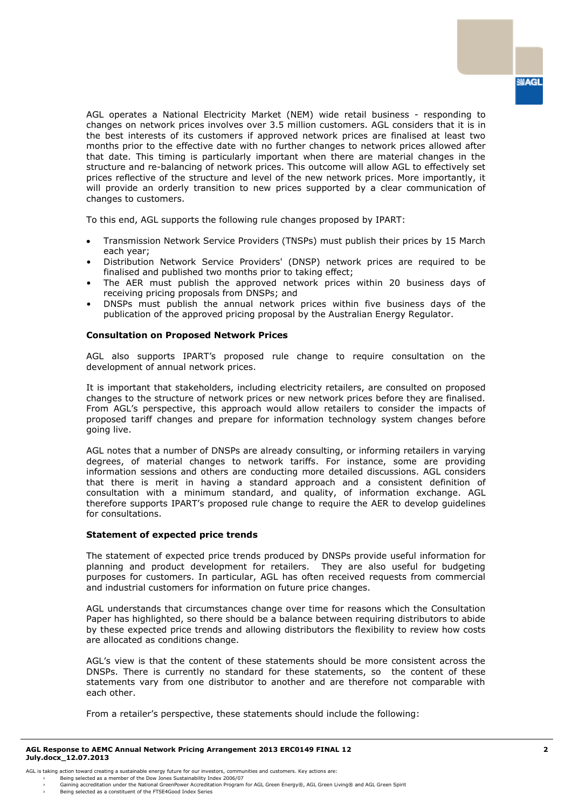AGL operates a National Electricity Market (NEM) wide retail business - responding to changes on network prices involves over 3.5 million customers. AGL considers that it is in the best interests of its customers if approved network prices are finalised at least two months prior to the effective date with no further changes to network prices allowed after that date. This timing is particularly important when there are material changes in the structure and re-balancing of network prices. This outcome will allow AGL to effectively set prices reflective of the structure and level of the new network prices. More importantly, it will provide an orderly transition to new prices supported by a clear communication of changes to customers.

To this end, AGL supports the following rule changes proposed by IPART:

- Transmission Network Service Providers (TNSPs) must publish their prices by 15 March each year;
- Distribution Network Service Providers' (DNSP) network prices are required to be finalised and published two months prior to taking effect;
- The AER must publish the approved network prices within 20 business days of receiving pricing proposals from DNSPs; and
- DNSPs must publish the annual network prices within five business days of the publication of the approved pricing proposal by the Australian Energy Regulator.

### **Consultation on Proposed Network Prices**

AGL also supports IPART's proposed rule change to require consultation on the development of annual network prices.

It is important that stakeholders, including electricity retailers, are consulted on proposed changes to the structure of network prices or new network prices before they are finalised. From AGL's perspective, this approach would allow retailers to consider the impacts of proposed tariff changes and prepare for information technology system changes before going live.

AGL notes that a number of DNSPs are already consulting, or informing retailers in varying degrees, of material changes to network tariffs. For instance, some are providing information sessions and others are conducting more detailed discussions. AGL considers that there is merit in having a standard approach and a consistent definition of consultation with a minimum standard, and quality, of information exchange. AGL therefore supports IPART's proposed rule change to require the AER to develop guidelines for consultations.

### **Statement of expected price trends**

The statement of expected price trends produced by DNSPs provide useful information for planning and product development for retailers. They are also useful for budgeting purposes for customers. In particular, AGL has often received requests from commercial and industrial customers for information on future price changes.

AGL understands that circumstances change over time for reasons which the Consultation Paper has highlighted, so there should be a balance between requiring distributors to abide by these expected price trends and allowing distributors the flexibility to review how costs are allocated as conditions change.

AGL's view is that the content of these statements should be more consistent across the DNSPs. There is currently no standard for these statements, so the content of these statements vary from one distributor to another and are therefore not comparable with each other.

From a retailer's perspective, these statements should include the following:

<sup>›</sup> Being selected as a member of the Dow Jones Sustainability Index 2006/07<br>› Gaining accreditation under the National GreenPower Accreditation Program for AGL Green Energy®, AGL Green Iving® and AGL Green S